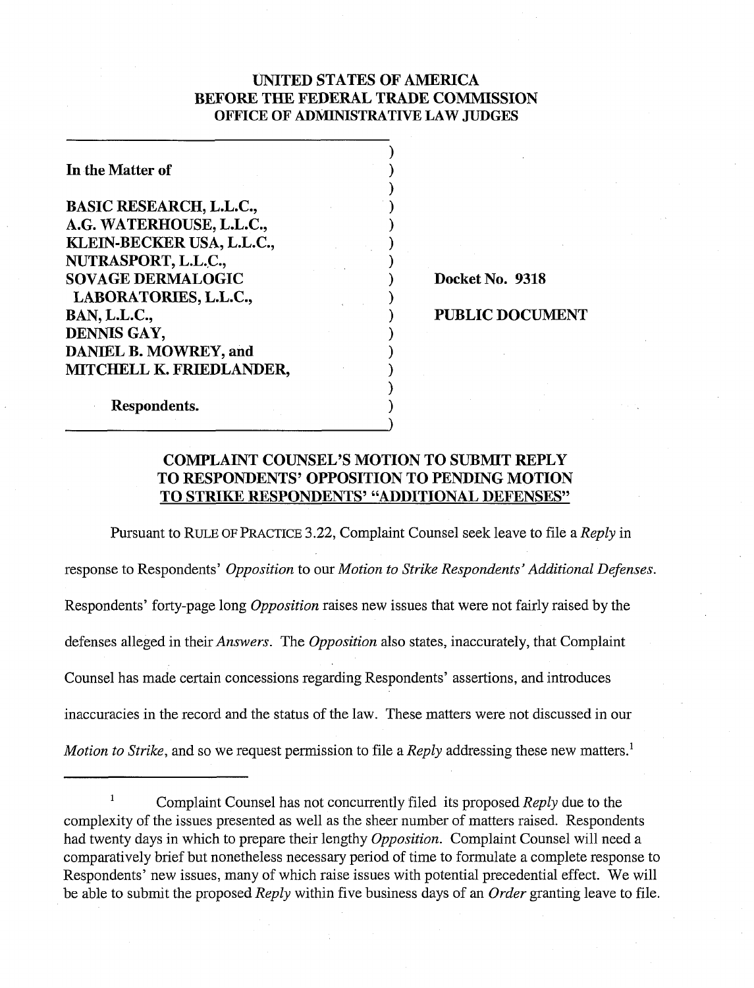# **UNITED STATES OF AMERICA BEFORE THE FEDERAL TRADE COMMISSION OFFICE OF ADMINISTRATIVE LAW JUDGES**

1

 $)$ 

 $)$ 

 $)$ 

In the Matter of **BASIC RESEARCH, L.L.C., A.G. WATERHOUSE, L.L.C.,** 1 **KLEIN-BECKER USA, L.L.C., NUTRASPORT, L.L.C.,** 1 **SOVAGE DERMALOGIC** LABORATORIES, L.L.C., **BAN, L.L.C., DENNIS GAY, DANIEL B. MOWREY, and MITCHELL K. FRIEDLANDER,** 1

**Docket No. 9318** 

#### **PUBLIC DOCUMENT**

**Respondents.** 

# **COMPLAINT COUNSEL'S MOTION TO SUBMIT REPLY TO RESPONDENTS' OPPOSITION TO PENDING MOTION TO STRIKE RESPONDENTS' "ADDITIONAL DEFENSES"**

Pursuant to RULE OF PRACTICE 3.22, Complaint Counsel seek leave to file a *Reply* in response to Respondents' *Opposition* to our *Motion to Strike Respondents' Additional Defenses.*  Respondents' forty-page long *Opposition* raises new issues that were not fairly raised by the defenses alleged in their *Answers.* The *Opposition* also states, inaccurately, that Complaint Counsel has made certain concessions regarding Respondents' assertions, and introduces inaccuracies in the record and the status of the law. These matters were not discussed in our *Motion to Strike,* and so we request permission to file a *Reply* addressing these new matters.'

<sup>1</sup> Complaint Counsel has not concurrently filed its proposed *Reply* due to the complexity of the issues presented as well as the sheer number of matters raised. Respondents had twenty days in which to prepare their lengthy *Opposition.* Complaint Counsel will need a comparatively brief but nonetheless necessary period of time to formulate a complete response to Respondents' new issues, many of which raise issues with potential precedential effect. We will be able to submit the proposed *Reply* within five business days of an *Order* granting leave to file.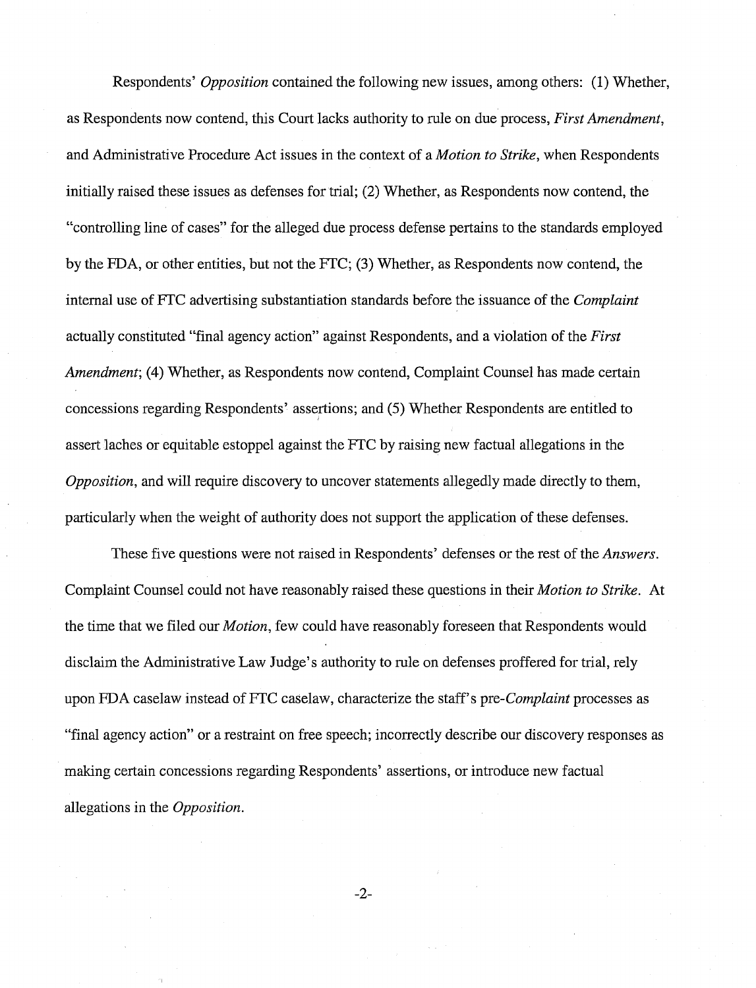Respondents' Opposition contained the following new issues, among others: (1) Whether, as Respondents now contend, this Court lacks authority to rule on due process, *First Amendment*, and Administrative Procedure Act issues in the context of a *Motion to Strike*, when Respondents initially raised these issues as defenses for trial; (2) Whether, as Respondents now contend, the "controlling line of cases" for the alleged due process defense pertains to the standards employed by the FDA, or other entities, but not the FTC; (3) Whether, as Respondents now contend, the internal use of FTC advertising substantiation standards before the issuance of the *Complaint* actually constituted "final agency action" against Respondents, and a violation of the First Amendment; (4) Whether, as Respondents now contend, Complaint Counsel has made certain concessions regarding Respondents' assertions; and *(5)* Whether Respondents are entitled to assert laches or equitable estoppel against the FTC by raising new factual allegations in the Opposition, and will require discovery to uncover statements allegedly made directly to them, particularly when the weight of authority does not support the application of these defenses.

These five questions were not raised in Respondents' defenses or the rest of the *Answers*. Complaint Counsel could not have reasonably raised these questions in their Motion to Strike. At the time that we filed our Motion, few could have reasonably foreseen that Respondents would disclaim the Administrative Law Judge's authority to rule on defenses proffered for trial, rely upon FDA caselaw instead of FTC caselaw, characterize the staff's pre-Complaint processes as "final agency action" or a restraint on free speech; incorrectly describe our discovery responses as making certain concessions regarding Respondents' assertions, or introduce new factual allegations in the Opposition.

 $-2-$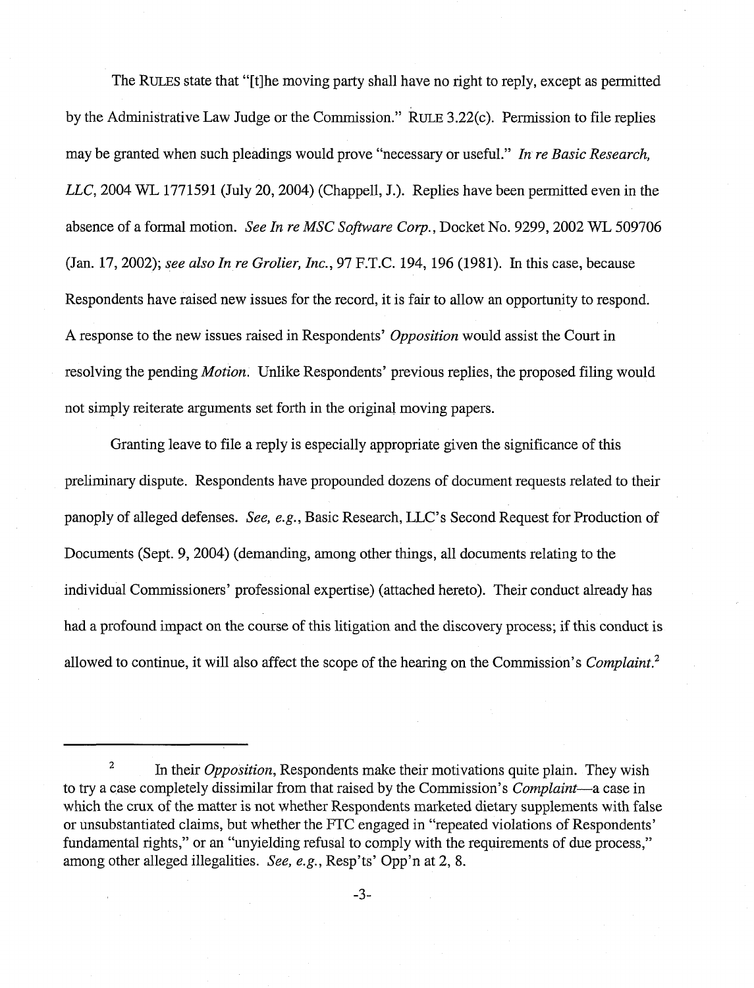The RULES state that "[tlhe moving party shall have no right to reply, except as permitted by the Administrative Law Judge or the Commission." RULE 3.22(c). Permission to file replies may be granted when such pleadings would prove "necessary or useful." In re Basic Research, LLC, 2004 WL 1771591 (July 20,2004) (Chappell, J.). Replies have been permitted even in the absence of a formal motion. See In re MSC Software Corp., Docket No. 9299, 2002 WL 509706 (Jan. 17, 2002); see also In re Grolier, Inc., 97 F.T.C. 194, 196 (1981). In this case, because Respondents have raised new issues for the record, it is fair to allow an opportunity to respond. **A** response to the new issues raised in Respondents' Opposition would assist the Court in resolving the pending *Motion*. Unlike Respondents' previous replies, the proposed filing would not simply reiterate arguments set forth in the original moving papers.

Granting leave to file a reply is especially appropriate given the significance of this preliminary dispute. Respondents have propounded dozens of document requests related to their panoply of alleged defenses. See, e.g., Basic Research, LLC's Second Request for Production of Documents (Sept. 9,2004) (demanding, among other things, all documents relating to the individual Commissioners' professional expertise) (attached hereto). Their conduct already has had a profound impact on the course of this litigation and the discovery process; if this conduct is allowed to continue, it will also affect the scope of the hearing on the Commission's *Complaint*.<sup>2</sup>

<sup>&</sup>lt;sup>2</sup> In their *Opposition*, Respondents make their motivations quite plain. They wish to try a case completely dissimilar from that raised by the Commission's *Complaint*—a case in which the crux of the matter is not whether Respondents marketed dietary supplements with false or unsubstantiated claims, but whether the FTC engaged in "repeated violations of Respondents' fundamental rights," or an "unyielding refusal to comply with the requirements of due process," among other alleged illegalities. See, e.g., Resp'ts' Opp'n at 2, 8.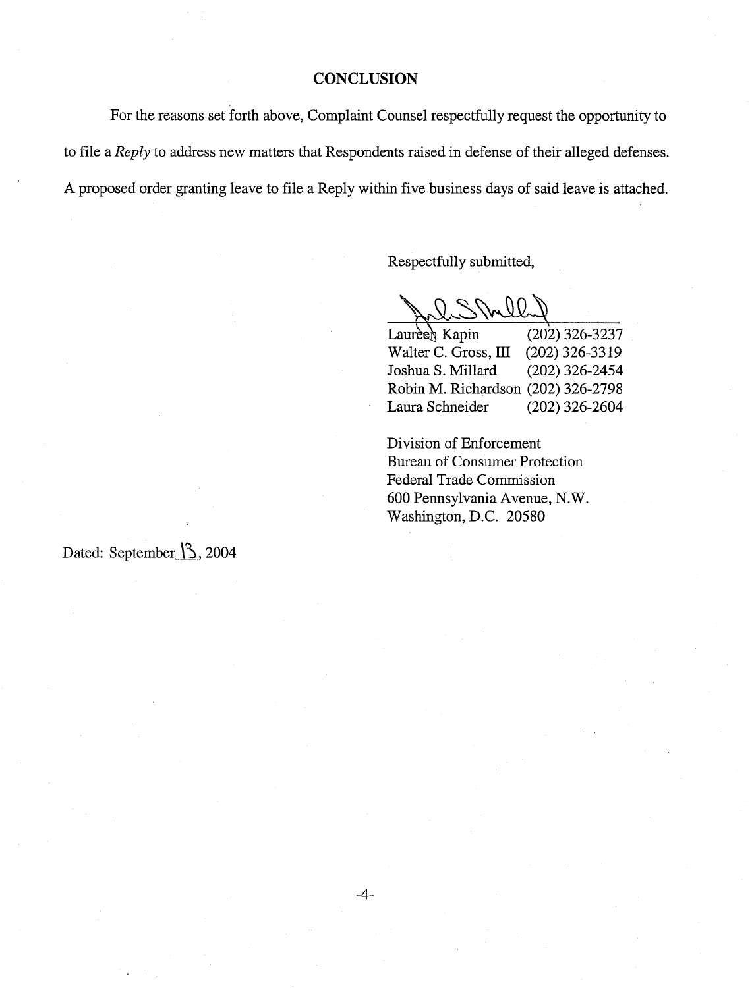## **CONCLUSION**

For the reasons set forth above, Complaint Counsel respectfully request the opportunity to to file a Reply to address new matters that Respondents raised in defense of their alleged defenses. A proposed order granting leave to file a Reply within five business days of said leave is attached.

Respectfully submitted,

w 00.

Laureed Kapin (202) 326-3237<br>Walter C. Gross, III (202) 326-3319 Walter C. Gross, III Joshua S. Millard (202) 326-2454 Robin M. Richardson (202) 326-2798 Laura Schneider (202) 326-2604

Division of Enforcement Bureau of Consumer Protection Federal Trade Commission 600 Pennsylvania Avenue, N.W. Washington, D.C. 20580

Dated: September 13, 2004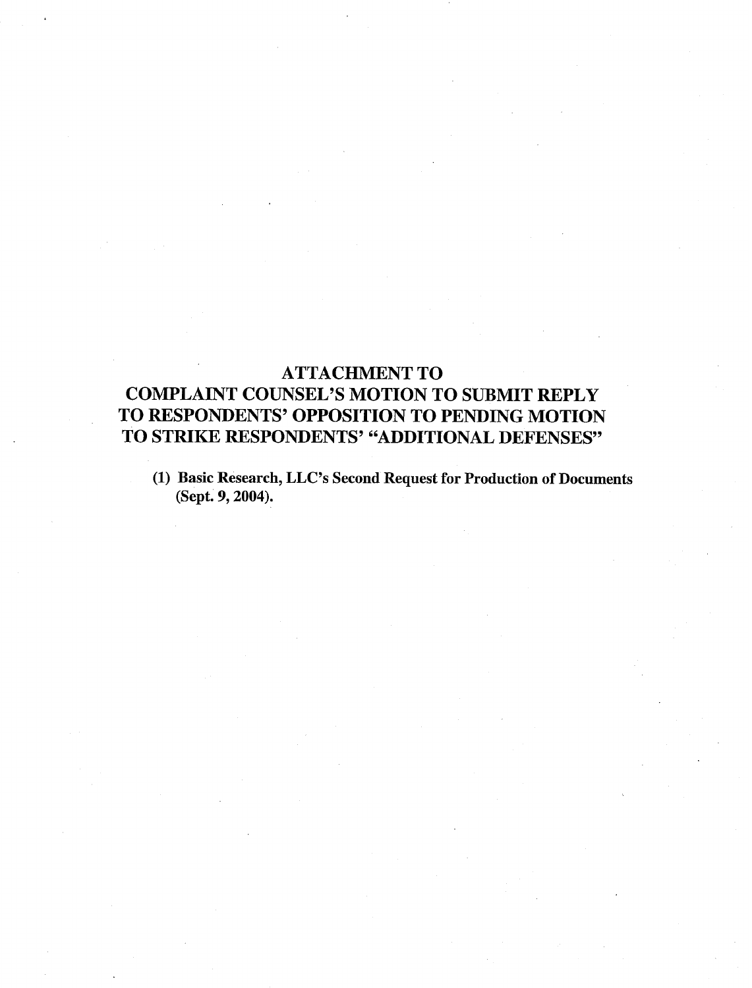# **ATTACHMENT TO COMPLAINT COUNSEL'S MOTION TO SUBMIT REPLY TO RESPONDENTS' OPPOSITION TO PENDING MOTION TO STRIKE RESPONDENTS' "ADDITIONAL DEFENSES"**

**(1) Basic Research, LLC's Second Request for Production of Documents (Sept. 9,2004).**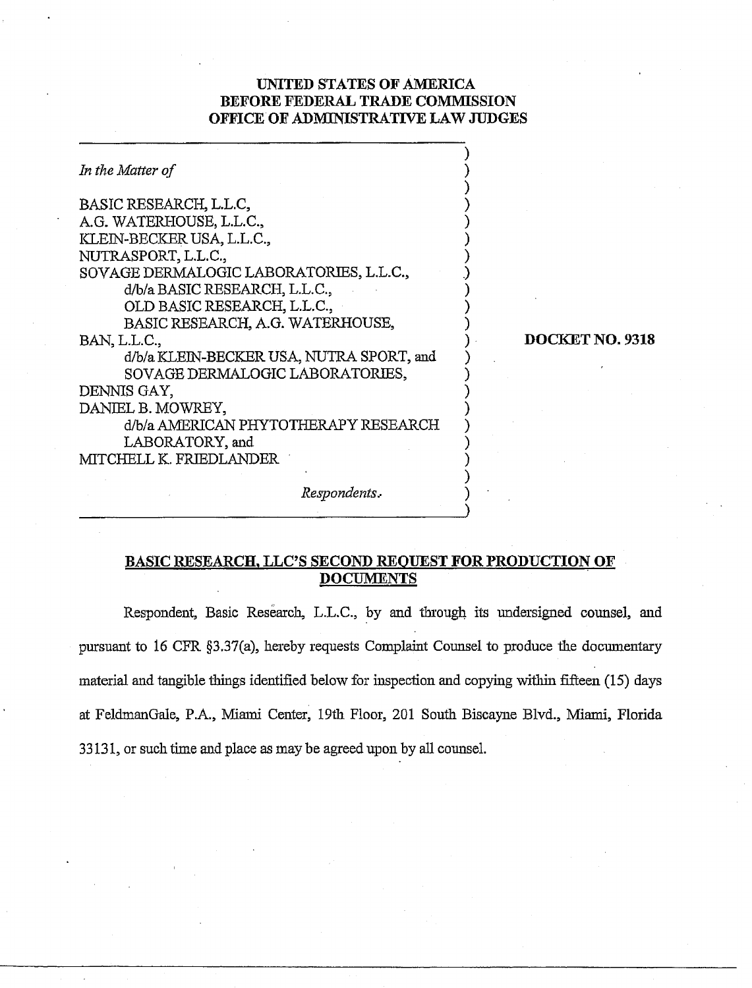## **UNITED STATES OF AMERICA BEFOlRE FEDERAL TRADE COMMISSION OFFICE OP ADMINISTRATIVE LAW JUDGES**

| In the Matter of                         |  |
|------------------------------------------|--|
| BASIC RESEARCH, L.L.C,                   |  |
| A.G. WATERHOUSE, L.L.C.,                 |  |
| KLEIN-BECKER USA, L.L.C.,                |  |
| NUTRASPORT, L.L.C.,                      |  |
| SOVAGE DERMALOGIC LABORATORIES, L.L.C.,  |  |
| d/b/a BASIC RESEARCH, L.L.C.,            |  |
| OLD BASIC RESEARCH, L.L.C.,              |  |
| BASIC RESEARCH, A.G. WATERHOUSE,         |  |
| BAN, L.L.C.,                             |  |
| d/b/a KLEIN-BECKER USA, NUTRA SPORT, and |  |
| SOVAGE DERMALOGIC LABORATORIES,          |  |
| DENNIS GAY,                              |  |
| DANIEL B. MOWREY,                        |  |
| d/b/a AMERICAN PHYTOTHERAPY RESEARCH     |  |
| LABORATORY, and                          |  |
| ITCHELL K. FRIEDLANDER                   |  |
|                                          |  |
|                                          |  |

**DOCKET NO. 9318** 

*Responderzts~* 1

## **BASIC RESEARCH, LLC'S SECOND REQUEST FOR PRODUCTION OF DOcTJMIcNTS**

Respondent, Basic Research, L.L.C., by and through its undersigned counsel, and pursuant to 16 CFR 93.37(a), hereby requests Complaint Counsel to produce the documentary material and tangible things identified below for inspection and copying witllin fifteen (15) days at FeldmanGale, P.A., Miani Center, 19th Floor, 201 South Biscayne Blvd., Miami, Florida 33 131, or such time aud place as may be agreed upon by all counsel.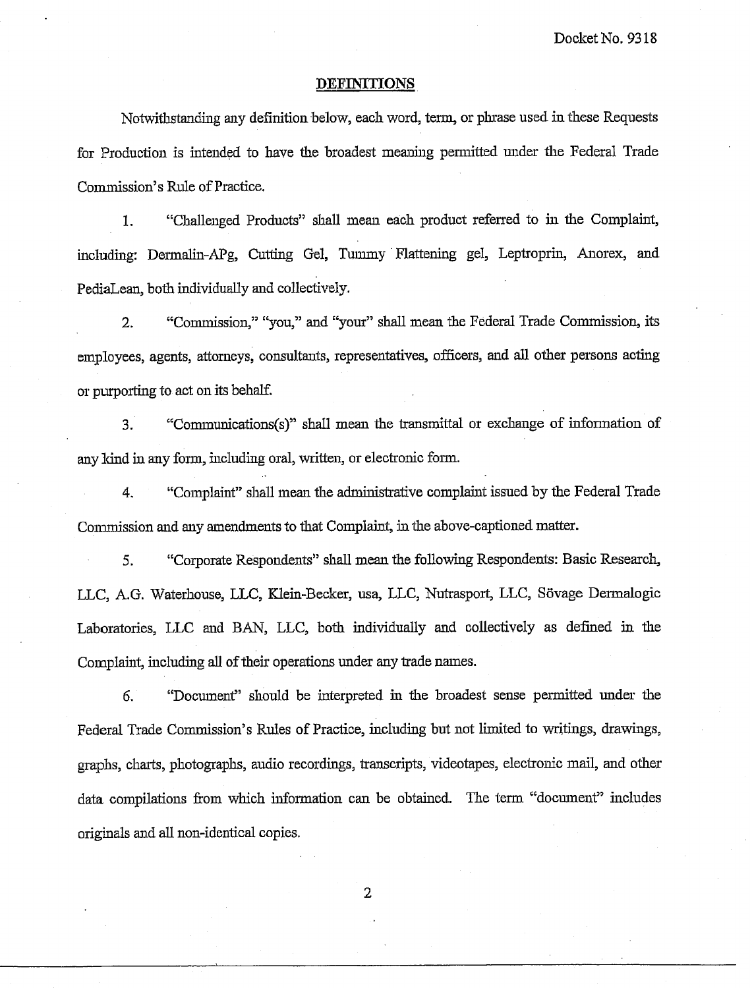## **DEPIMTIONS**

Notwithstanding any definition below, each word, term, or phrase used in these Requests for Production is intended to have the broadest meaning permitted under the Federal Trade Commission's Rule of Practice.

1. "Challenged Products" shall mean each product referred to **iu** the Complaint, including: Dermalin-APg, Cutting Gel, Tummy Flattening gel, Leptroprin, Anorex, and PediaLean, both individually and collectively.

2. "Commission," "you," and "your" shall mean the Federal Trade Commission, its employees, agents, attorneys, consultants, representatives, officers, and all other persons acting or purporting to act on its behalf.

**3.** "Cormnunications(s)" shall mean the transmittal or exchange of information of any kind in any form, including oral, written, or electronic form.

**4.** "Coinplaint" shall mean the admiuistxative complaiut issued by the Federal Trade Cornmission and any amendments to that Complaint, in the above-captioned matter.

**5.** "Corporate Respondents" shall mean the following Respondents: Basic Research, LLC, A.G. Waterhouse, LLC, Klein-Becker, **usa,** LLC, Nutrasport, LLC, Sovage Dermalogic Laboratories, LLC and BAN, LLC, both individually and collectively as defined in the Complaint, including all of fieir operations under any trade names.

*6.* ''Docment" should be interpreted in the broadest sense permitted under the Federal Trade Commission's Rules of Practice, including but not limited to writings, drawings, graphs, charts, photographs, audio recordings, transcripts, videotapes, electronic mail, and other data compilations fiom which information can be obtained. The term "document" includes originals md **all** non-identical copies.

 $\overline{2}$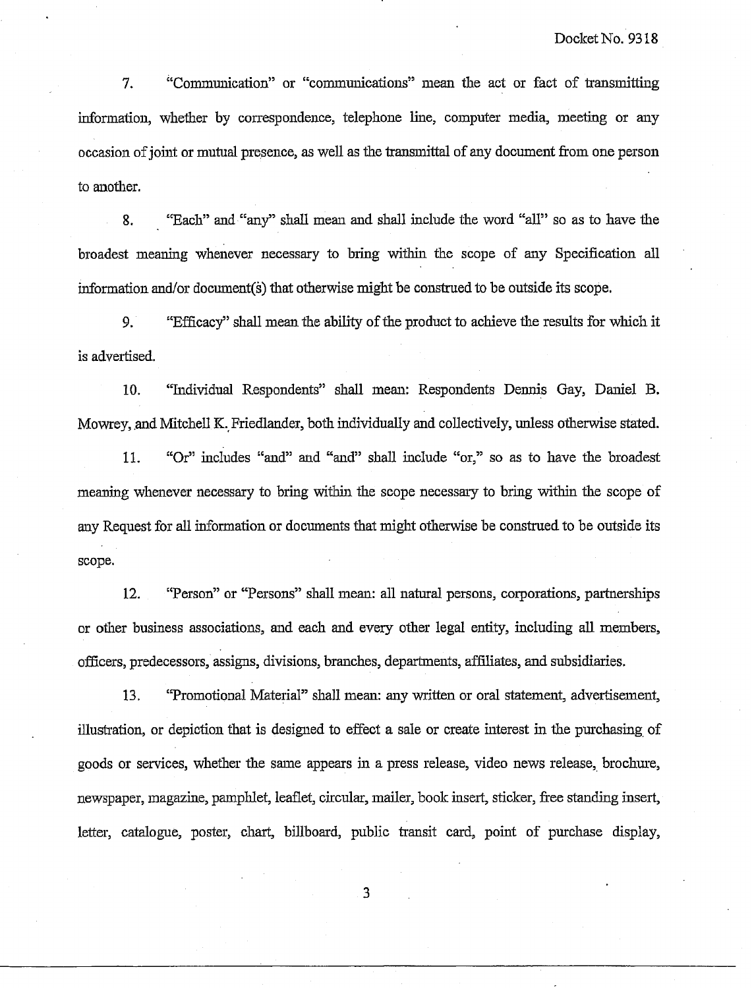7. communication" or "communications" mean the act or fact of transmittinginformation, whether by correspondence, telephone line, computer media, meeting or any occasion of joint or mutual presence, as well as the transmittal of any document from one person to another.

**8.** "Each" and "anyy' shall mean and shall include the word "all" so as to have the broadest meaning wheikver necessary to bring within the scope of *any* Specification all information and/or document(\$) that otherwise might be construed to be outside its scope.

**9.** "Efficacy" shall mean the ability of the product to achieve the results for which it is advertised.

10. "Individual Respondents" shall mean: Respondents Dennis Gay, Daniel B. Mowrey, and Mitchell K. Friedlander, both individually and collectively, unless otherwise stated.

11. "Or" includes "and" and "and" shall include "or," so as to have the broadest meaning whenever necessary to bring within the scope necessary to bring within the scope of any Request for **all** information or documents that might otherwise be construed to be outside its scope.

12. "Person" or "Persons" shall mean: all natural persons, corporations, partnerships or other business associations, and each and every other legal entity, including all members, officers, predecessors, assigns, divisions, branches, deparlments, affiliates, and subsidiaries.

13. **CTR** <sup>c</sup>Tromotional Material" shall mean: any written or oral statement, advertisement, illustration, or depiction that is designed to effect a sale or create interest in the purchasing of goods or services, whether the same appears **in** a press release, video news release, brochure, newspaper, magazine, pamphlet, leaflet, circular, mailer, book insert, sticker, free standing insert, letter, catalogue, poster, chart, billboard, public transit card, point of purchase display,

 $\overline{3}$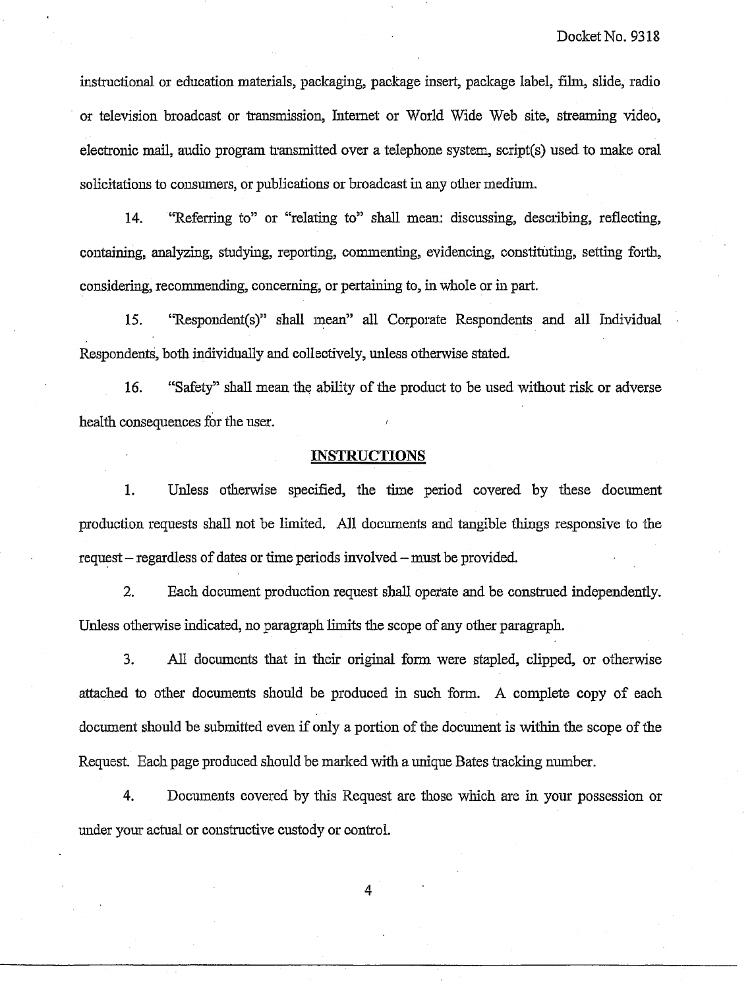instructional or education materials, packaging, paclcage insert, package label, **film,** slide, radio or television broadcast or transmission, Internet or World Wide Web site, streaming video, electronic mail, audio program transmitted over a telephone system, script(s) used to make oral solicitations to consumers, or publications or broadcast **in** any other medium.

14. "Referring to" or "relating to" shall mean: discussing, describing, reflecting, containing, analyzing, studying, reporting, commenting, evidencing, constituting, setting forth, considering, recommending, concerning, or pertaining to, in whole or **in** part.

**15. Correspondents**)" shall mean" all Corporate Respondents and all Individual Respondents, both individudy and collectively, unless otherwise stated.

16. "Safety" shall mean the ability of the product to be used without risk or adverse health consequences for the user.

#### **INSTRUCTIONS**

1. Unless otherwise specified, the time period covered by these document production requests shall not be limited. All documents and tangible figs responsive to the request – regardless of dates or time periods involved – must be provided.

2. Each document production request shall operate and be construed independently. Unless otherwise indicated, no paragraph limits the scope of any oiher paragraph.

3. *All* documents that in their original form were stapled, clipped, or otherwise attached to other documents sbould be produced in such form. A complete copy of each document should be submitted even if only a portion of the document is within the scope of the Request. Each page produced should be marked with a unique Bates tracking number.

4. Documents covered by this Request are those which are **jn** your possession or under your actual or constructive custody or conirol.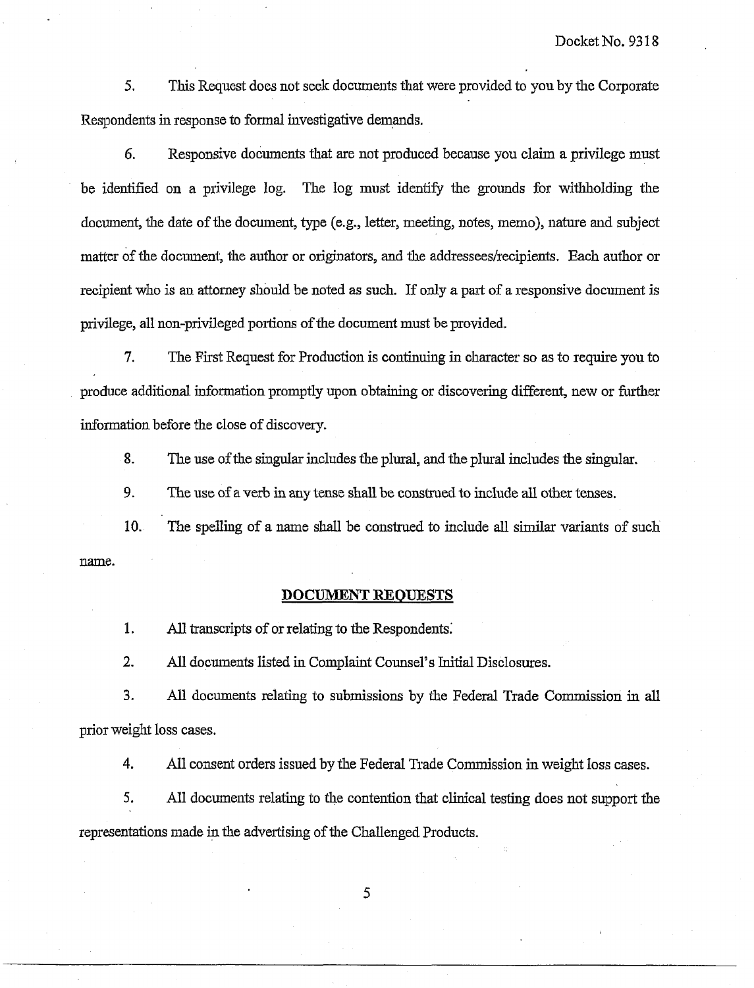**5.** This Request does not seek documents that were provided to you by the Corporate Respondents in response to formal investigative demands.

*6.* Responsive documents that are not produced because you claim a privilege must be identified on a privilege log. The log must identify the grounds for withholding the document, fie date of the document, type (e.g., letter, meeting, notes, memo), nature and subject matter of the document, the author or originators, and the addresses/recipients. Each author or recipient who is **an** attorney should be noted as such. If only a part of a responsive document is privilege, all non-privileged portions of the document must be provided.

**7.** The First Request for Production is continuing in character so as to require you to produce additional information promptly upon obtaining or discovering different, new or further information before the close of discovery.

**8.** The use of the singular includes the plural, and the plural includes the singular.

**9.** The use of a verb in any tense **shall** be construed to include all other tenses.

10. The spelling of a name shall be construed to include **all** similar variants of such name.

### **DOCUMENT REQUESTS**

1. All transcripts of or relating to the Respondents:

2. All documents listed in Complaint Counsel's Initial Disclosures.

**3.** *All* documents relating to submissions by **the** Federal Trade Commission in all prior weight loss cases.

**4.** All consent orders issued by the Federal Trade Commission in weight loss cases.

**5.** All documents relating to the contention that clinical testing does not support the representations made in **the** advertising of the Challenged Products.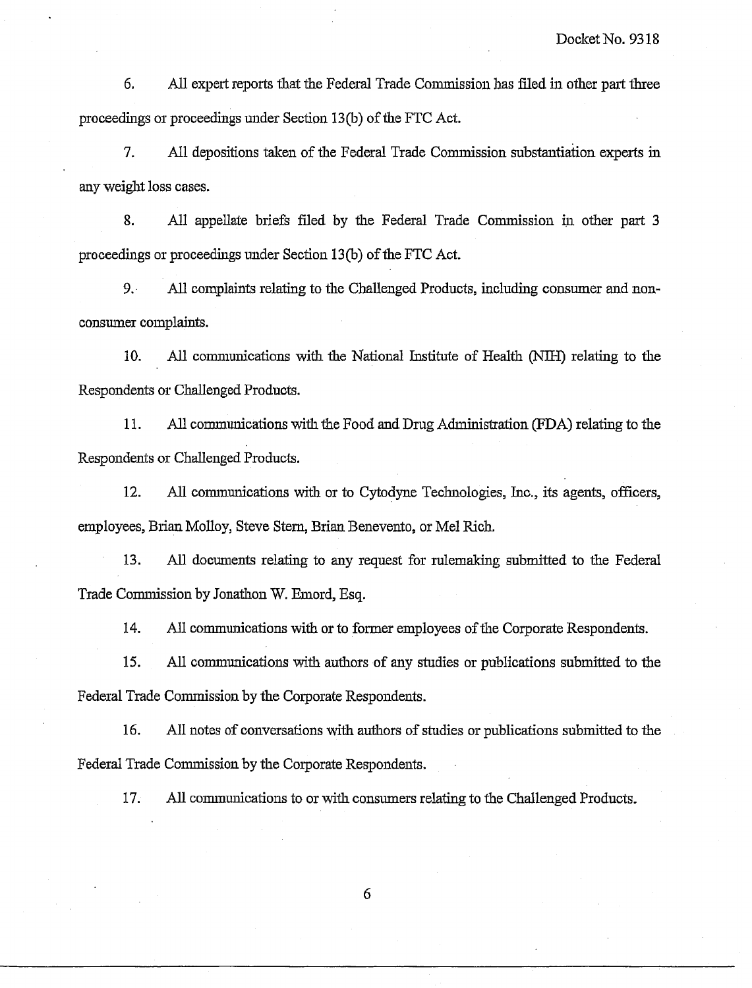6 All expert reports that the Federal Trade Commission bas iiled in other part lhree proceedings or proceedings under Section 13(b) of the FTC Act.

7. All depositions talcen of the Federal Trade Commission substantiation experts **in any** weight loss cases.

**8.** All appellate briefs filed by the Federal Trade Commission in other part **3**  proceedings or proceedings under Section 13 (b) of the FTC Act.

**9.** *All* complaints relating to the Challenged Products, including consumer and nonconsumer complaints.

10. All communications with the National Institute of Health (NIH) relating to the Respondents or Challenged Products.

1 1. All communications with the Food and Drug Administration (FDA) relating to the Respondents or Challenged Products.

12. All comnunications **with** or to Cytodyne Technologies, Inc., its agents, officers, employees, Brian Molloy, Steve Stem, Brian Benevento, or Me1 Rich.

13. *All* documents relating to any request for rulemaking submitted to the Federal Trade Commission by Jonathon W. Emord, Esq.

14. All communications with or to former employees of the Corporate Respondents.

**15.** All communications with authors of any studies or publications submitted to the Federal Trade Commission by the Corporate Respondents.

16. *All* notes of conversations with authors of studies or publications submitted to the Federal Trade Commission by the Corporate Respondents.

17. All communications to or with consumers relating to the Challenged Products.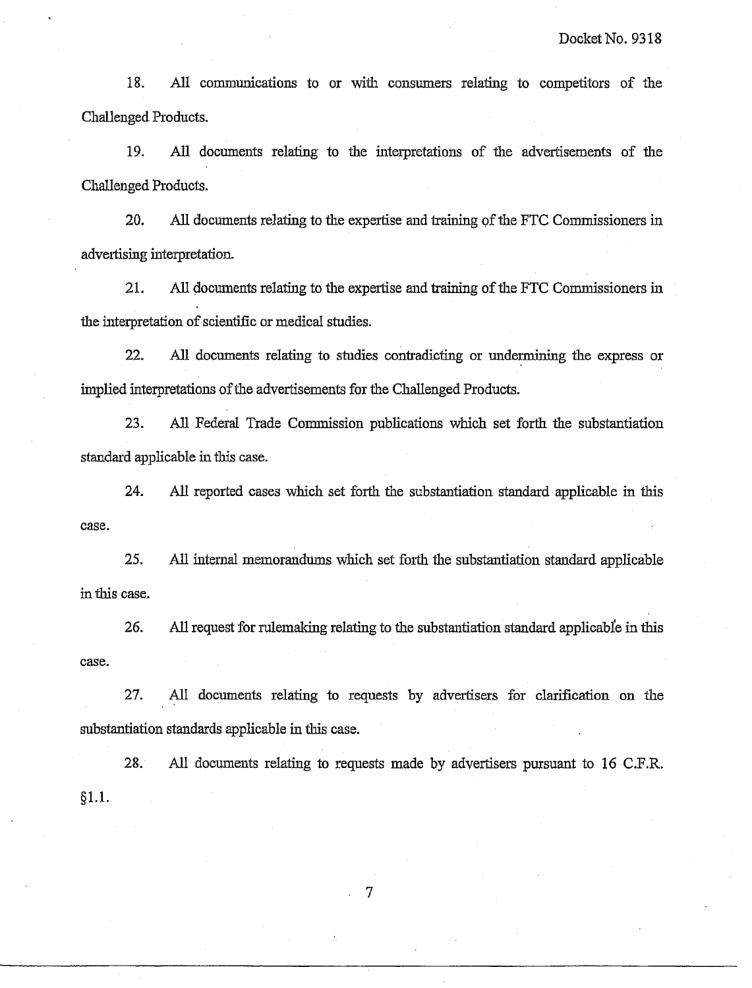18. All communications to or with consumers relating to competitors of the Challenged Products.

19. *All* documents relating to the interpretations of the advertisements of the Challenged Products.

20. AU documents relating to the expertise and traiuing of the FTC Commissioners in advertising interpretation.

21. All documents relating to the expertise and training of the FTC Commissioners in the interpretation of scientific or medical studies.

22. All documents relating to studies contradicting or mdennining the express or implied interpretations of the advertisements for the Challenged Products.

23. All Federal Trade Commission publications which set forth the substantiation standard applicable in this case.

24. All reported cases which set forth the substantiation standard applicable in this case.

25. All internal memorandums which set forth the substantiation standard applicable in this case.

26. All request for rulemaking relating to the substantiation standard applicable in this case.

27. *All* documents relating to requests by advertisers for clarification on the substantiation standards applicable in this case.

**28.** All doculnents relating to requests made by advertisers pursuant to 16 C.F.R.  $§1.1.$ 

 $\overline{7}$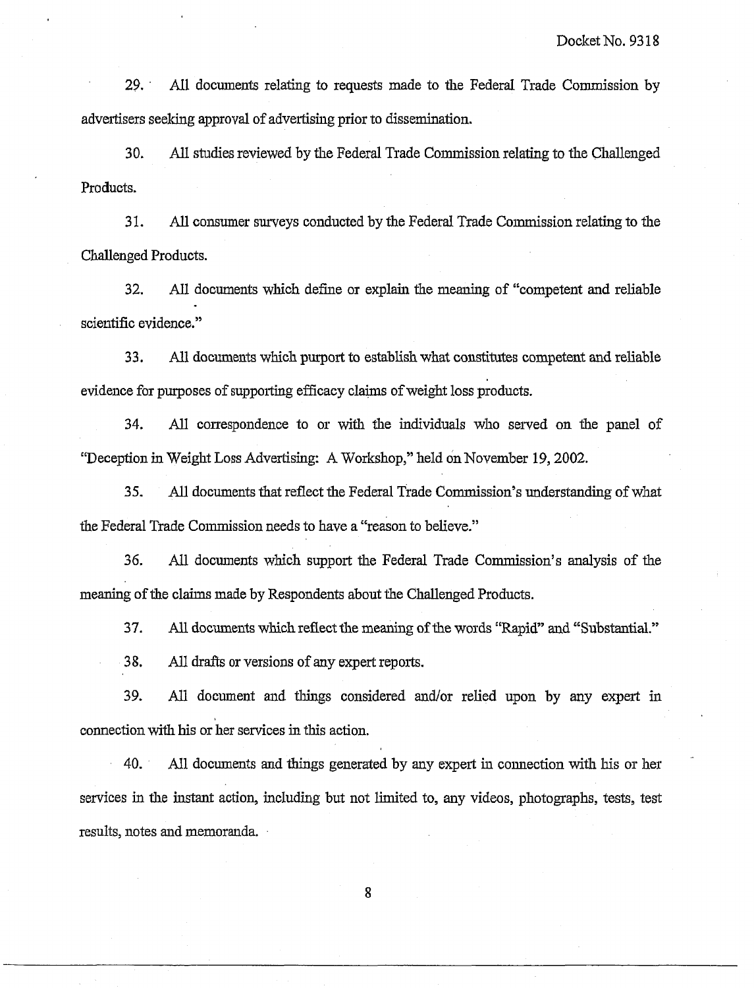29. All documents relating to requests made to the Federal Trade Commission by advertisers seeking approval of advertising prior to dissemination.

30, *All* studies reviewed by the Federal Trade Commission relating to the Challenged Products.

3 1. *All* consumer surveys conducted by the Federal Trade Commission relating to the Challenged Products.

32. *AIl* documents which define or explain the meaning of "competent **and** reliable scientific evidence."

33. **All** documents which purport to establish what constitutes competent and reliable evidence for purposes of supporting efficacy claims of weight loss products.

34. All correspondence to or with the individuals who served on the panel of "Deception in Weight Loss Advertising: A Workshop," held on November 19,2002.

**35.** *All* documents that reflect the Federal Trade Commission's understanding of what the Federal Trade Commission needs to have a "reason to believe."

36. *All* documents which support the Federal Trade Commission's analysis of the meaning of the claims made by Respondents about the Challenged Products.

**37.** All documents which reflect the meaning of the wo~ds "Rapid" and "Substantial."

**38.** *All* drafts or versions of any expert reports.

39. All document and things considered and/or relied upon by any expert in connection with his or her services in this action.

40. All documents and things generated by any expert in comection with his or her services in the instant action, including but not limited to, any videos, photographs, tests, test results, notes and memoranda.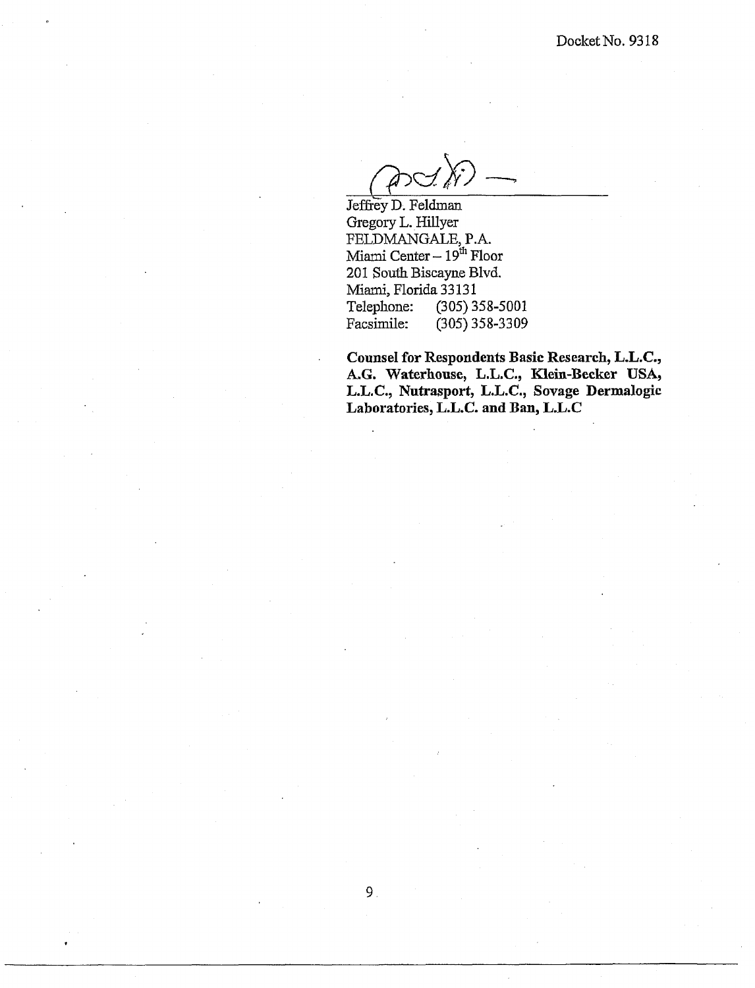Jeffrey D. Feldman Gregory L. Hillyer FELDMANGALE, P.A.<br>Miami Center – 19<sup>th</sup> Floor 201 South Biscayne Blvd. Miami, Florida 33131<br>Telephone: (305) 3 Telephone: (305) 358-5001<br>Facsimile: (305) 358-3309 Facsimile: (305) **358-3309** 

**CounseI for Respondents Basic Research, L.L.C., A.G. Waterhouse, L.L.C., Klein-Becker USA, L.L.C., Nutrasport, L.L.C., Sovage Dermalogic Laboratories, L.L.C. and Ban, L.L.C**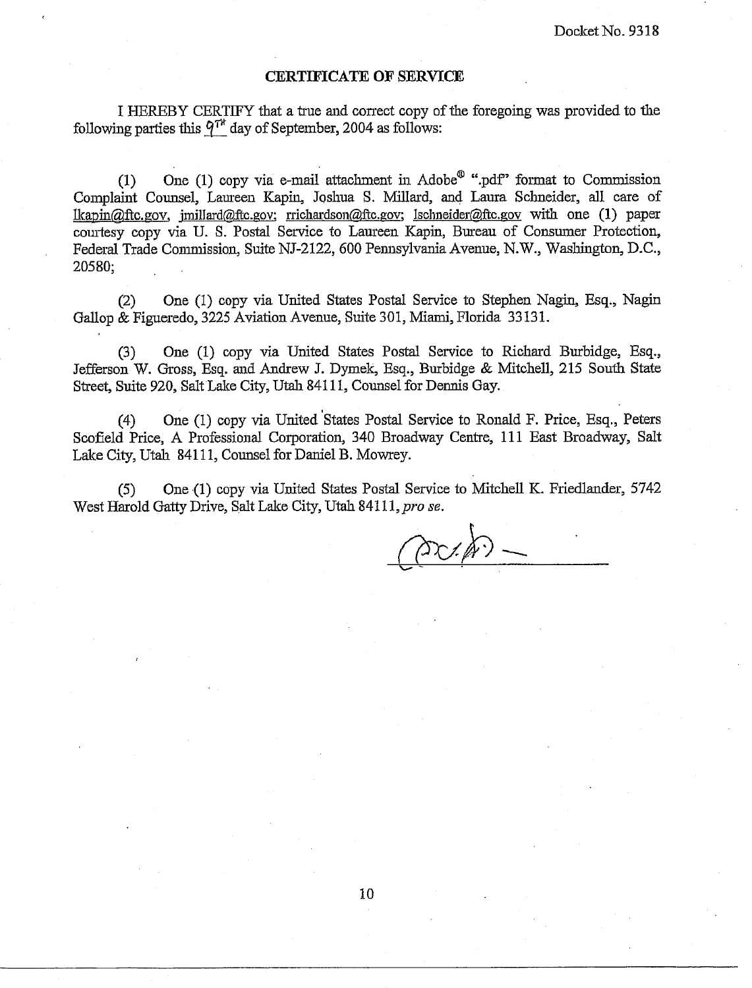#### **CERTIFICATE OF SERVICE**

I HEREBY CERTIFY that a true and correct copy of the foregoing was provided to the following parties this  $9^{7k}$  day of September, 2004 as follows:

(1) One (1) copy via e-mail attachment in Adobe<sup>®</sup> ".pdf" format to Commission Complaint Counsel, Laureen Kapin., Joshua S. Millard, and Laura Scheider, all care of  $\alpha$  is its inillard  $\alpha$  fic.gov; rrichardson  $\alpha$  fic.gov; Ischneider $\alpha$  fic.gov with one (1) paper courtesy copy via U. S. Postal Service to Laween Kapin, Bureau of Consumer Protection, Federal Trade Commission, Suite NJ-2122, 600 Pennsylvania Avenue, N.W., Washington, D.C., 20580;

(2) One (I) copy via United States Postal Service to Stephen Nagin, Esq., Nagin Gallop & Figueredo, 3225 Aviation Avenue, Suite 301, Miami, Florida 33 131.

**(3)** One (I) copy via United States Postal Service to Richard Burbidge, Esq., Jefferson W. Gross, Esq. and Andrew J. Dymek, Esq., Burbidge & Mitchell, 215 South State Street, Suite 920, Salt Lake City, Utah 841 11, Counsel for Dennis Gay.

(4) One (1) copy via United States Postal Service to Ronald F. Price, Esq., Peters Scofield Price, A Professional Corporation, 340 Broadway Centre, 111 East Broadway, Salt Lake City, Utah 84111, Counsel for Daniel B. Mowrey.

**(5)** One (1) copy via United States Postal Service to Mitchell K. Friedlander, 5742 West Harold Gatty Drive, Salt Lake **City,** Utah 845.11, *pro* so.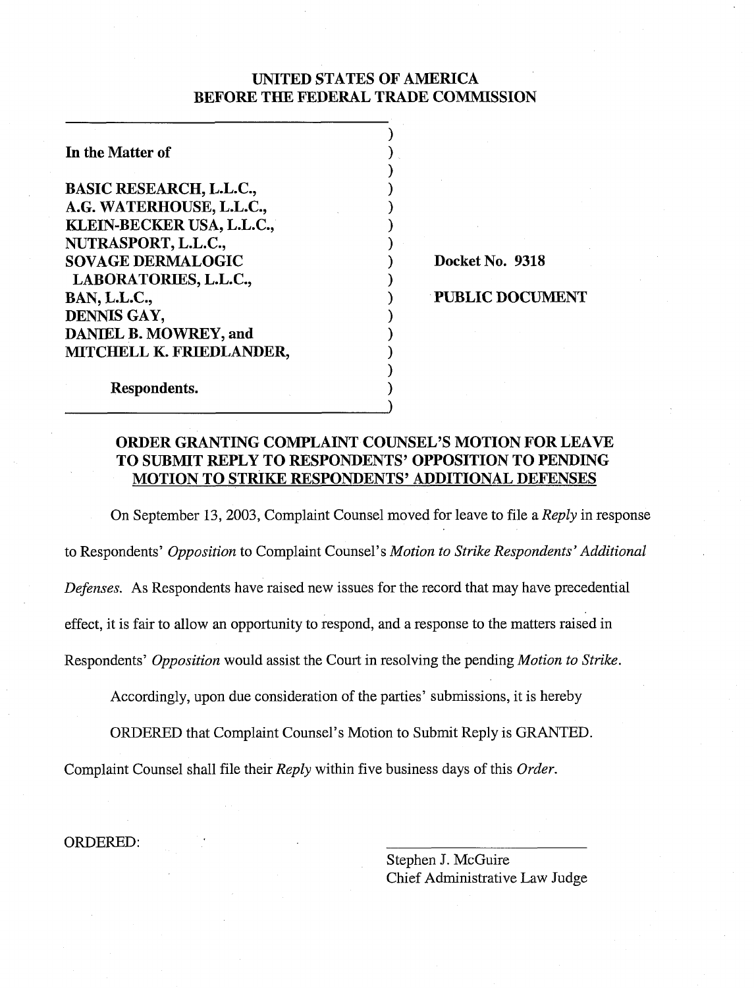## UNITED STATES OF AMERICA BEFORE THE FEDERAL TRADE COMMISSION

1 1  $)$  $)$  $)$  $)$  $)$ 

 $)$ 

 $)$  $)$  $)$  $)$  $)$ 

| In the Matter of                                      |
|-------------------------------------------------------|
| <b>BASIC RESEARCH, L.L.C.,</b>                        |
| A.G. WATERHOUSE, L.L.C.,<br>KLEIN-BECKER USA, L.L.C., |
| NUTRASPORT, L.L.C.,                                   |
| <b>SOVAGE DERMALOGIC</b>                              |
| LABORATORIES, L.L.C.,                                 |
| <b>BAN, L.L.C.,</b>                                   |
| DENNIS GAY,<br><b>DANIEL B. MOWREY, and</b>           |
| MITCHELL K. FRIEDLANDER,                              |

Docket No. 9318

PUBLIC DOCUMENT

Respondents.

# ORDER GRANTING COMPLAINT COUNSEL'S MOTION FOR LEAVE TO SUBMIT REPLY TO RESPONDENTS' OPPOSITION TO PENDING MOTION TO STRIKE RESPONDENTS' ADDITIONAL DEFENSES

On September 13,2003, Complaint Counsel moved for leave to file a *Reply* in response to Respondents' *Opposition* to Complaint Counsel's *Motion to Strike Respondents' Additional Defenses.* As Respondents have raised new issues for the record that may have precedential effect, it is fair to allow an opportunity to respond, and a response to the matters raised in Respondents' *Opposition* would assist the Court in resolving the pending *Motion to Strike*.

Accordingly, upon due consideration of the parties' submissions, it is hereby

ORDERED that Complaint Counsel's Motion to Submit Reply is GRANTED.

Complaint Counsel shall file their *Reply* within five business days of this *Order.* 

ORDERED:

Stephen J. McGuire Chief Administrative Law Judge